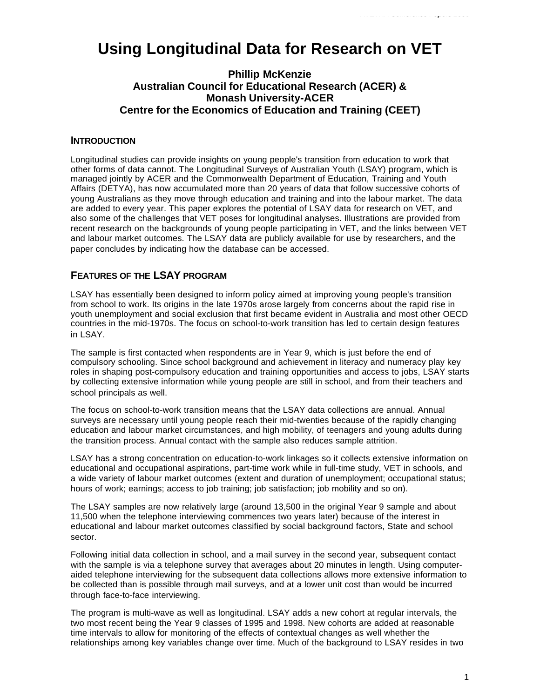# **Using Longitudinal Data for Research on VET**

# **Phillip McKenzie Australian Council for Educational Research (ACER) & Monash University-ACER Centre for the Economics of Education and Training (CEET)**

## **INTRODUCTION**

Longitudinal studies can provide insights on young people's transition from education to work that other forms of data cannot. The Longitudinal Surveys of Australian Youth (LSAY) program, which is managed jointly by ACER and the Commonwealth Department of Education, Training and Youth Affairs (DETYA), has now accumulated more than 20 years of data that follow successive cohorts of young Australians as they move through education and training and into the labour market. The data are added to every year. This paper explores the potential of LSAY data for research on VET, and also some of the challenges that VET poses for longitudinal analyses. Illustrations are provided from recent research on the backgrounds of young people participating in VET, and the links between VET and labour market outcomes. The LSAY data are publicly available for use by researchers, and the paper concludes by indicating how the database can be accessed.

## **FEATURES OF THE LSAY PROGRAM**

LSAY has essentially been designed to inform policy aimed at improving young people's transition from school to work. Its origins in the late 1970s arose largely from concerns about the rapid rise in youth unemployment and social exclusion that first became evident in Australia and most other OECD countries in the mid-1970s. The focus on school-to-work transition has led to certain design features in LSAY.

The sample is first contacted when respondents are in Year 9, which is just before the end of compulsory schooling. Since school background and achievement in literacy and numeracy play key roles in shaping post-compulsory education and training opportunities and access to jobs, LSAY starts by collecting extensive information while young people are still in school, and from their teachers and school principals as well.

The focus on school-to-work transition means that the LSAY data collections are annual. Annual surveys are necessary until young people reach their mid-twenties because of the rapidly changing education and labour market circumstances, and high mobility, of teenagers and young adults during the transition process. Annual contact with the sample also reduces sample attrition.

LSAY has a strong concentration on education-to-work linkages so it collects extensive information on educational and occupational aspirations, part-time work while in full-time study, VET in schools, and a wide variety of labour market outcomes (extent and duration of unemployment; occupational status; hours of work; earnings; access to job training; job satisfaction; job mobility and so on).

The LSAY samples are now relatively large (around 13,500 in the original Year 9 sample and about 11,500 when the telephone interviewing commences two years later) because of the interest in educational and labour market outcomes classified by social background factors, State and school sector.

Following initial data collection in school, and a mail survey in the second year, subsequent contact with the sample is via a telephone survey that averages about 20 minutes in length. Using computeraided telephone interviewing for the subsequent data collections allows more extensive information to be collected than is possible through mail surveys, and at a lower unit cost than would be incurred through face-to-face interviewing.

The program is multi-wave as well as longitudinal. LSAY adds a new cohort at regular intervals, the two most recent being the Year 9 classes of 1995 and 1998. New cohorts are added at reasonable time intervals to allow for monitoring of the effects of contextual changes as well whether the relationships among key variables change over time. Much of the background to LSAY resides in two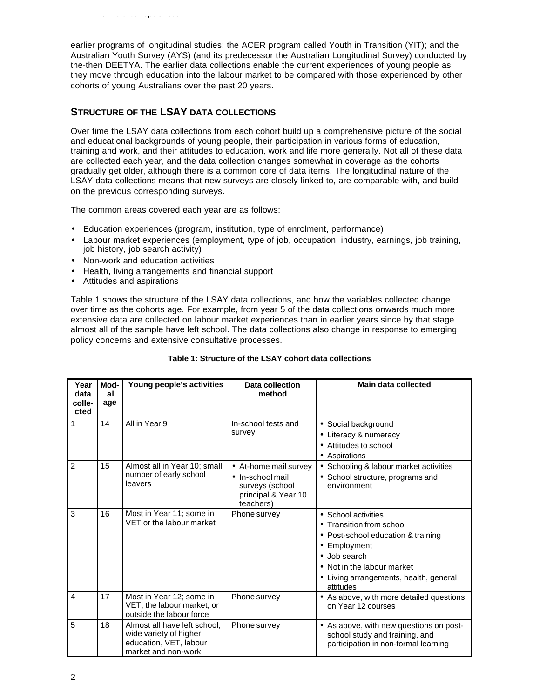earlier programs of longitudinal studies: the ACER program called Youth in Transition (YIT); and the Australian Youth Survey (AYS) (and its predecessor the Australian Longitudinal Survey) conducted by the-then DEETYA. The earlier data collections enable the current experiences of young people as they move through education into the labour market to be compared with those experienced by other cohorts of young Australians over the past 20 years.

# **STRUCTURE OF THE LSAY DATA COLLECTIONS**

Over time the LSAY data collections from each cohort build up a comprehensive picture of the social and educational backgrounds of young people, their participation in various forms of education, training and work, and their attitudes to education, work and life more generally. Not all of these data are collected each year, and the data collection changes somewhat in coverage as the cohorts gradually get older, although there is a common core of data items. The longitudinal nature of the LSAY data collections means that new surveys are closely linked to, are comparable with, and build on the previous corresponding surveys.

The common areas covered each year are as follows:

- Education experiences (program, institution, type of enrolment, performance)
- Labour market experiences (employment, type of job, occupation, industry, earnings, job training, job history, job search activity)
- Non-work and education activities
- Health, living arrangements and financial support
- Attitudes and aspirations

*AVETRA Conference Papers 2000*

Table 1 shows the structure of the LSAY data collections, and how the variables collected change over time as the cohorts age. For example, from year 5 of the data collections onwards much more extensive data are collected on labour market experiences than in earlier years since by that stage almost all of the sample have left school. The data collections also change in response to emerging policy concerns and extensive consultative processes.

| Year<br>data<br>colle-<br>cted | Mod-<br>al<br>age | Young people's activities                                                                               | <b>Data collection</b><br>method                                                                 | Main data collected                                                                                                                                                                                        |
|--------------------------------|-------------------|---------------------------------------------------------------------------------------------------------|--------------------------------------------------------------------------------------------------|------------------------------------------------------------------------------------------------------------------------------------------------------------------------------------------------------------|
| 1                              | 14                | All in Year 9                                                                                           | In-school tests and<br>survey                                                                    | • Social background<br>• Literacy & numeracy<br>• Attitudes to school<br>• Aspirations                                                                                                                     |
| $\overline{2}$                 | 15                | Almost all in Year 10; small<br>number of early school<br>leavers                                       | • At-home mail survey<br>• In-school mail<br>surveys (school<br>principal & Year 10<br>teachers) | • Schooling & labour market activities<br>• School structure, programs and<br>environment                                                                                                                  |
| 3                              | 16                | Most in Year 11; some in<br>VET or the labour market                                                    | Phone survey                                                                                     | • School activities<br>• Transition from school<br>• Post-school education & training<br>• Employment<br>• Job search<br>• Not in the labour market<br>• Living arrangements, health, general<br>attitudes |
| $\overline{4}$                 | 17                | Most in Year 12; some in<br>VET, the labour market, or<br>outside the labour force                      | Phone survey                                                                                     | • As above, with more detailed questions<br>on Year 12 courses                                                                                                                                             |
| 5                              | 18                | Almost all have left school;<br>wide variety of higher<br>education, VET, labour<br>market and non-work | Phone survey                                                                                     | • As above, with new questions on post-<br>school study and training, and<br>participation in non-formal learning                                                                                          |

## **Table 1: Structure of the LSAY cohort data collections**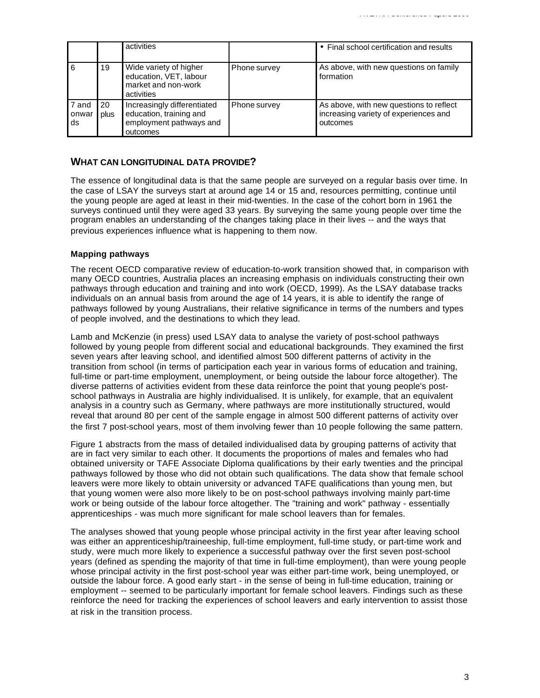|                      |            | activities                                                                                    |              | • Final school certification and results                                                     |
|----------------------|------------|-----------------------------------------------------------------------------------------------|--------------|----------------------------------------------------------------------------------------------|
| 6                    | 19         | Wide variety of higher<br>education, VET, labour<br>market and non-work<br>activities         | Phone survey | As above, with new questions on family<br>formation                                          |
| 7 and<br>onwar<br>ds | 20<br>plus | Increasingly differentiated<br>education, training and<br>employment pathways and<br>outcomes | Phone survey | As above, with new questions to reflect<br>increasing variety of experiences and<br>outcomes |

## **WHAT CAN LONGITUDINAL DATA PROVIDE?**

The essence of longitudinal data is that the same people are surveyed on a regular basis over time. In the case of LSAY the surveys start at around age 14 or 15 and, resources permitting, continue until the young people are aged at least in their mid-twenties. In the case of the cohort born in 1961 the surveys continued until they were aged 33 years. By surveying the same young people over time the program enables an understanding of the changes taking place in their lives -- and the ways that previous experiences influence what is happening to them now.

## **Mapping pathways**

The recent OECD comparative review of education-to-work transition showed that, in comparison with many OECD countries, Australia places an increasing emphasis on individuals constructing their own pathways through education and training and into work (OECD, 1999). As the LSAY database tracks individuals on an annual basis from around the age of 14 years, it is able to identify the range of pathways followed by young Australians, their relative significance in terms of the numbers and types of people involved, and the destinations to which they lead.

Lamb and McKenzie (in press) used LSAY data to analyse the variety of post-school pathways followed by young people from different social and educational backgrounds. They examined the first seven years after leaving school, and identified almost 500 different patterns of activity in the transition from school (in terms of participation each year in various forms of education and training, full-time or part-time employment, unemployment, or being outside the labour force altogether). The diverse patterns of activities evident from these data reinforce the point that young people's postschool pathways in Australia are highly individualised. It is unlikely, for example, that an equivalent analysis in a country such as Germany, where pathways are more institutionally structured, would reveal that around 80 per cent of the sample engage in almost 500 different patterns of activity over the first 7 post-school years, most of them involving fewer than 10 people following the same pattern.

Figure 1 abstracts from the mass of detailed individualised data by grouping patterns of activity that are in fact very similar to each other. It documents the proportions of males and females who had obtained university or TAFE Associate Diploma qualifications by their early twenties and the principal pathways followed by those who did not obtain such qualifications. The data show that female school leavers were more likely to obtain university or advanced TAFE qualifications than young men, but that young women were also more likely to be on post-school pathways involving mainly part-time work or being outside of the labour force altogether. The "training and work" pathway - essentially apprenticeships - was much more significant for male school leavers than for females.

The analyses showed that young people whose principal activity in the first year after leaving school was either an apprenticeship/traineeship, full-time employment, full-time study, or part-time work and study, were much more likely to experience a successful pathway over the first seven post-school years (defined as spending the majority of that time in full-time employment), than were young people whose principal activity in the first post-school year was either part-time work, being unemployed, or outside the labour force. A good early start - in the sense of being in full-time education, training or employment -- seemed to be particularly important for female school leavers. Findings such as these reinforce the need for tracking the experiences of school leavers and early intervention to assist those at risk in the transition process.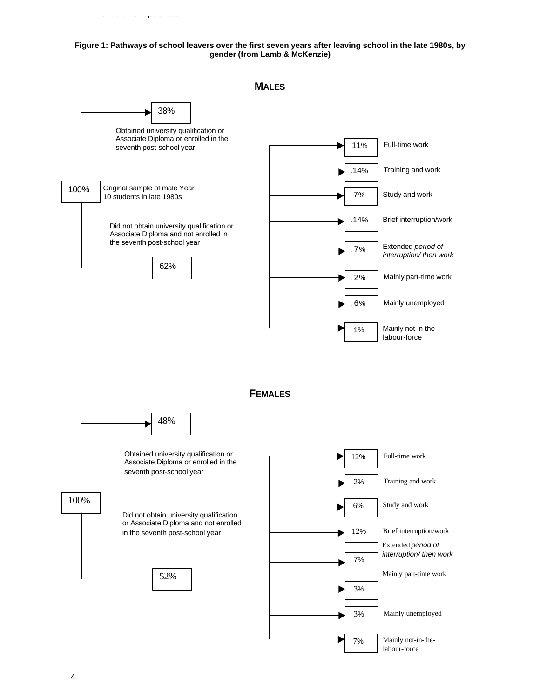#### *AVETRA Conference Papers 2000*

#### **Figure 1: Pathways of school leavers over the first seven years after leaving school in the late 1980s, by gender (from Lamb & McKenzie)**



**MALES**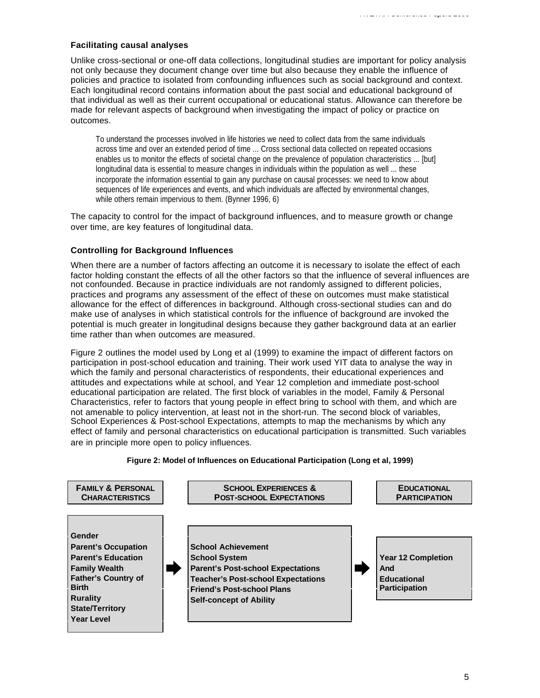## **Facilitating causal analyses**

Unlike cross-sectional or one-off data collections, longitudinal studies are important for policy analysis not only because they document change over time but also because they enable the influence of policies and practice to isolated from confounding influences such as social background and context. Each longitudinal record contains information about the past social and educational background of that individual as well as their current occupational or educational status. Allowance can therefore be made for relevant aspects of background when investigating the impact of policy or practice on outcomes.

To understand the processes involved in life histories we need to collect data from the same individuals across time and over an extended period of time ... Cross sectional data collected on repeated occasions enables us to monitor the effects of societal change on the prevalence of population characteristics ... [but] longitudinal data is essential to measure changes in individuals within the population as well ... these incorporate the information essential to gain any purchase on causal processes: we need to know about sequences of life experiences and events, and which individuals are affected by environmental changes, while others remain impervious to them. (Bynner 1996, 6)

The capacity to control for the impact of background influences, and to measure growth or change over time, are key features of longitudinal data.

## **Controlling for Background Influences**

When there are a number of factors affecting an outcome it is necessary to isolate the effect of each factor holding constant the effects of all the other factors so that the influence of several influences are not confounded. Because in practice individuals are not randomly assigned to different policies, practices and programs any assessment of the effect of these on outcomes must make statistical allowance for the effect of differences in background. Although cross-sectional studies can and do make use of analyses in which statistical controls for the influence of background are invoked the potential is much greater in longitudinal designs because they gather background data at an earlier time rather than when outcomes are measured.

Figure 2 outlines the model used by Long et al (1999) to examine the impact of different factors on participation in post-school education and training. Their work used YIT data to analyse the way in which the family and personal characteristics of respondents, their educational experiences and attitudes and expectations while at school, and Year 12 completion and immediate post-school educational participation are related. The first block of variables in the model, Family & Personal Characteristics, refer to factors that young people in effect bring to school with them, and which are not amenable to policy intervention, at least not in the short-run. The second block of variables, School Experiences & Post-school Expectations, attempts to map the mechanisms by which any effect of family and personal characteristics on educational participation is transmitted. Such variables are in principle more open to policy influences.

#### **Figure 2: Model of Influences on Educational Participation (Long et al, 1999)**

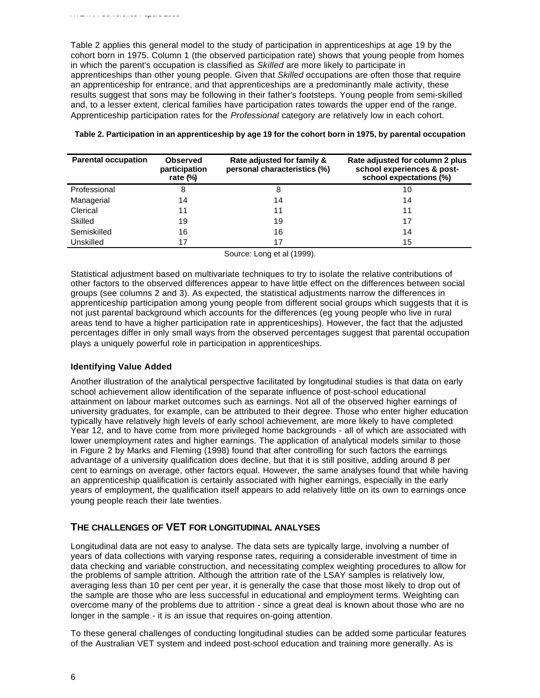Table 2 applies this general model to the study of participation in apprenticeships at age 19 by the cohort born in 1975. Column 1 (the observed participation rate) shows that young people from homes in which the parent's occupation is classified as *Skilled* are more likely to participate in apprenticeships than other young people. Given that *Skilled* occupations are often those that require an apprenticeship for entrance, and that apprenticeships are a predominantly male activity, these results suggest that sons may be following in their father's footsteps. Young people from semi-skilled and, to a lesser extent, clerical families have participation rates towards the upper end of the range. Apprenticeship participation rates for the *Professional* category are relatively low in each cohort.

| <b>Parental occupation</b> | <b>Observed</b><br>participation<br>rate $(\%)$ | Rate adjusted for family &<br>personal characteristics (%) | Rate adjusted for column 2 plus<br>school experiences & post-<br>school expectations (%) |
|----------------------------|-------------------------------------------------|------------------------------------------------------------|------------------------------------------------------------------------------------------|
| Professional               | 8                                               |                                                            | 10                                                                                       |
| Managerial                 | 14                                              | 14                                                         | 14                                                                                       |
| Clerical                   | 11                                              | 11                                                         | 11                                                                                       |
| Skilled                    | 19                                              | 19                                                         | 17                                                                                       |
| Semiskilled                | 16                                              | 16                                                         | 14                                                                                       |
| Unskilled                  |                                                 |                                                            | 15                                                                                       |

**Table 2. Participation in an apprenticeship by age 19 for the cohort born in 1975, by parental occupation**

Source: Long et al (1999).

Statistical adjustment based on multivariate techniques to try to isolate the relative contributions of other factors to the observed differences appear to have little effect on the differences between social groups (see columns 2 and 3). As expected, the statistical adjustments narrow the differences in apprenticeship participation among young people from different social groups which suggests that it is not just parental background which accounts for the differences (eg young people who live in rural areas tend to have a higher participation rate in apprenticeships). However, the fact that the adjusted percentages differ in only small ways from the observed percentages suggest that parental occupation plays a uniquely powerful role in participation in apprenticeships.

#### **Identifying Value Added**

Another illustration of the analytical perspective facilitated by longitudinal studies is that data on early school achievement allow identification of the separate influence of post-school educational attainment on labour market outcomes such as earnings. Not all of the observed higher earnings of university graduates, for example, can be attributed to their degree. Those who enter higher education typically have relatively high levels of early school achievement, are more likely to have completed Year 12, and to have come from more privileged home backgrounds - all of which are associated with lower unemployment rates and higher earnings. The application of analytical models similar to those in Figure 2 by Marks and Fleming (1998) found that after controlling for such factors the earnings advantage of a university qualification does decline, but that it is still positive, adding around 8 per cent to earnings on average, other factors equal. However, the same analyses found that while having an apprenticeship qualification is certainly associated with higher earnings, especially in the early years of employment, the qualification itself appears to add relatively little on its own to earnings once young people reach their late twenties.

## **THE CHALLENGES OF VET FOR LONGITUDINAL ANALYSES**

Longitudinal data are not easy to analyse. The data sets are typically large, involving a number of years of data collections with varying response rates, requiring a considerable investment of time in data checking and variable construction, and necessitating complex weighting procedures to allow for the problems of sample attrition. Although the attrition rate of the LSAY samples is relatively low, averaging less than 10 per cent per year, it is generally the case that those most likely to drop out of the sample are those who are less successful in educational and employment terms. Weighting can overcome many of the problems due to attrition - since a great deal is known about those who are no longer in the sample - it is an issue that requires on-going attention.

To these general challenges of conducting longitudinal studies can be added some particular features of the Australian VET system and indeed post-school education and training more generally. As is